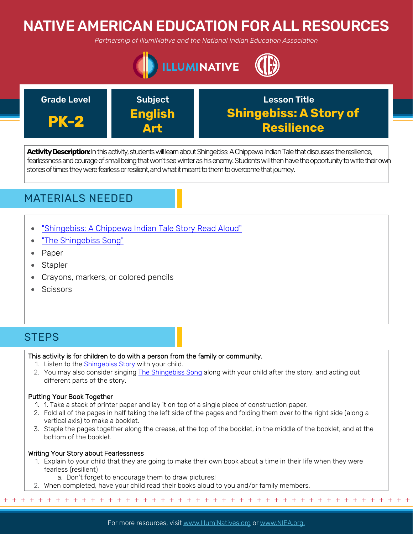# NATIVE AMERICAN EDUCATION FOR ALL RESOURCES

*Partnership of IllumiNative and the National Indian Education Association*





Activity Description: In this activity, students will learn about Shingebiss: A Chippewa Indian Tale that discusses the resilience, fearlessness and courage of small being that won't see winter as his enemy. Students will then have the opportunity to write their own stories of times they were fearless or resilient, and what it meant to them to overcome that journey.

## MATERIALS NEEDED

- ["Shingebiss: A Chippewa Indian Tale Story Read Aloud"](https://www.youtube.com/watch?v=J5jsboV2Cn8)
- ["The Shingebiss Song"](https://www.youtube.com/watch?v=L2G4zSaSLv0)
- Paper
- Stapler
- Crayons, markers, or colored pencils
- **Scissors**

# **STEPS**

## This activity is for children to do with a person from the family or community.

- 1. Listen to the [Shingebiss Story](https://www.youtube.com/watch?v=J5jsboV2Cn8) with your child.
- 2. You may also consider singing [The Shingebiss Song](https://www.youtube.com/watch?v=L2G4zSaSLv0) along with your child after the story, and acting out different parts of the story.

## Putting Your Book Together

- 1. 1. Take a stack of printer paper and lay it on top of a single piece of construction paper.
- 2. Fold all of the pages in half taking the left side of the pages and folding them over to the right side (along a vertical axis) to make a booklet.
- 3. Staple the pages together along the crease, at the top of the booklet, in the middle of the booklet, and at the bottom of the booklet.

## Writing Your Story about Fearlessness

- 1. Explain to your child that they are going to make their own book about a time in their life when they were fearless (resilient)
	- a. Don't forget to encourage them to draw pictures!
- 2. When completed, have your child read their books aloud to you and/or family members.

+ + + + + + + + + + + + + + + + + + + + + + + + + + + + + + + + + + + + + + + + + + + + + + + +